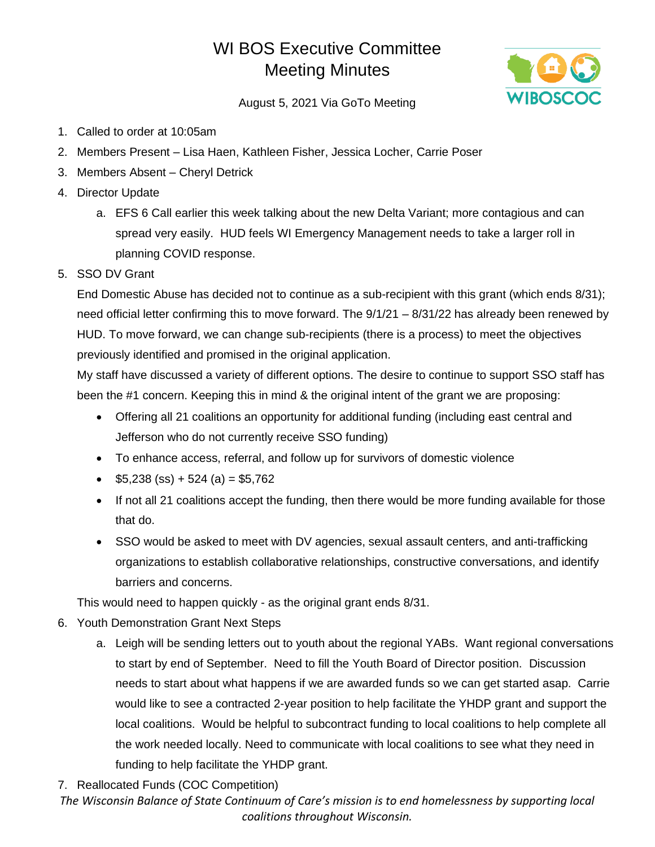## WI BOS Executive Committee Meeting Minutes



August 5, 2021 Via GoTo Meeting

- 1. Called to order at 10:05am
- 2. Members Present Lisa Haen, Kathleen Fisher, Jessica Locher, Carrie Poser
- 3. Members Absent Cheryl Detrick
- 4. Director Update
	- a. EFS 6 Call earlier this week talking about the new Delta Variant; more contagious and can spread very easily. HUD feels WI Emergency Management needs to take a larger roll in planning COVID response.
- 5. SSO DV Grant

End Domestic Abuse has decided not to continue as a sub-recipient with this grant (which ends 8/31); need official letter confirming this to move forward. The 9/1/21 – 8/31/22 has already been renewed by HUD. To move forward, we can change sub-recipients (there is a process) to meet the objectives previously identified and promised in the original application.

My staff have discussed a variety of different options. The desire to continue to support SSO staff has been the #1 concern. Keeping this in mind & the original intent of the grant we are proposing:

- Offering all 21 coalitions an opportunity for additional funding (including east central and Jefferson who do not currently receive SSO funding)
- To enhance access, referral, and follow up for survivors of domestic violence
- $$5,238$  (ss) + 524 (a) = \$5,762
- If not all 21 coalitions accept the funding, then there would be more funding available for those that do.
- SSO would be asked to meet with DV agencies, sexual assault centers, and anti-trafficking organizations to establish collaborative relationships, constructive conversations, and identify barriers and concerns.

This would need to happen quickly - as the original grant ends 8/31.

- 6. Youth Demonstration Grant Next Steps
	- a. Leigh will be sending letters out to youth about the regional YABs. Want regional conversations to start by end of September. Need to fill the Youth Board of Director position. Discussion needs to start about what happens if we are awarded funds so we can get started asap. Carrie would like to see a contracted 2-year position to help facilitate the YHDP grant and support the local coalitions. Would be helpful to subcontract funding to local coalitions to help complete all the work needed locally. Need to communicate with local coalitions to see what they need in funding to help facilitate the YHDP grant.
- 7. Reallocated Funds (COC Competition)

*The Wisconsin Balance of State Continuum of Care's mission is to end homelessness by supporting local coalitions throughout Wisconsin.*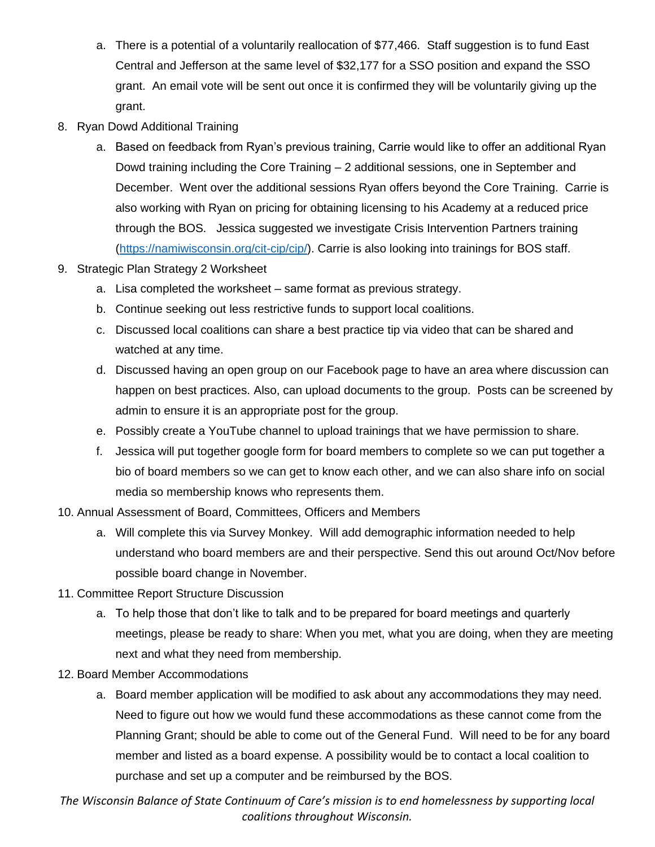- a. There is a potential of a voluntarily reallocation of \$77,466. Staff suggestion is to fund East Central and Jefferson at the same level of \$32,177 for a SSO position and expand the SSO grant. An email vote will be sent out once it is confirmed they will be voluntarily giving up the grant.
- 8. Ryan Dowd Additional Training
	- a. Based on feedback from Ryan's previous training, Carrie would like to offer an additional Ryan Dowd training including the Core Training – 2 additional sessions, one in September and December. Went over the additional sessions Ryan offers beyond the Core Training. Carrie is also working with Ryan on pricing for obtaining licensing to his Academy at a reduced price through the BOS. Jessica suggested we investigate Crisis Intervention Partners training [\(https://namiwisconsin.org/cit-cip/cip/\)](https://namiwisconsin.org/cit-cip/cip/). Carrie is also looking into trainings for BOS staff.
- 9. Strategic Plan Strategy 2 Worksheet
	- a. Lisa completed the worksheet same format as previous strategy.
	- b. Continue seeking out less restrictive funds to support local coalitions.
	- c. Discussed local coalitions can share a best practice tip via video that can be shared and watched at any time.
	- d. Discussed having an open group on our Facebook page to have an area where discussion can happen on best practices. Also, can upload documents to the group. Posts can be screened by admin to ensure it is an appropriate post for the group.
	- e. Possibly create a YouTube channel to upload trainings that we have permission to share.
	- f. Jessica will put together google form for board members to complete so we can put together a bio of board members so we can get to know each other, and we can also share info on social media so membership knows who represents them.
- 10. Annual Assessment of Board, Committees, Officers and Members
	- a. Will complete this via Survey Monkey. Will add demographic information needed to help understand who board members are and their perspective. Send this out around Oct/Nov before possible board change in November.
- 11. Committee Report Structure Discussion
	- a. To help those that don't like to talk and to be prepared for board meetings and quarterly meetings, please be ready to share: When you met, what you are doing, when they are meeting next and what they need from membership.
- 12. Board Member Accommodations
	- a. Board member application will be modified to ask about any accommodations they may need. Need to figure out how we would fund these accommodations as these cannot come from the Planning Grant; should be able to come out of the General Fund. Will need to be for any board member and listed as a board expense. A possibility would be to contact a local coalition to purchase and set up a computer and be reimbursed by the BOS.

*The Wisconsin Balance of State Continuum of Care's mission is to end homelessness by supporting local coalitions throughout Wisconsin.*